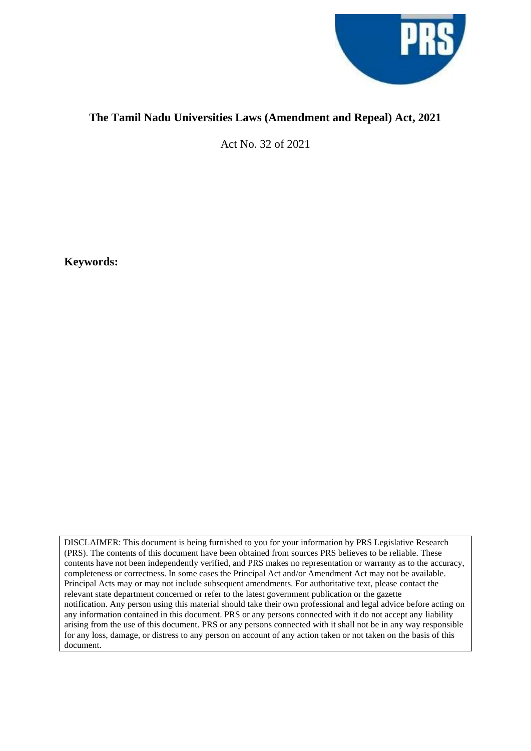

## **The Tamil Nadu Universities Laws (Amendment and Repeal) Act, 2021**

Act No. 32 of 2021

**Keywords:** 

DISCLAIMER: This document is being furnished to you for your information by PRS Legislative Research (PRS). The contents of this document have been obtained from sources PRS believes to be reliable. These contents have not been independently verified, and PRS makes no representation or warranty as to the accuracy, completeness or correctness. In some cases the Principal Act and/or Amendment Act may not be available. Principal Acts may or may not include subsequent amendments. For authoritative text, please contact the relevant state department concerned or refer to the latest government publication or the gazette notification. Any person using this material should take their own professional and legal advice before acting on any information contained in this document. PRS or any persons connected with it do not accept any liability arising from the use of this document. PRS or any persons connected with it shall not be in any way responsible for any loss, damage, or distress to any person on account of any action taken or not taken on the basis of this document.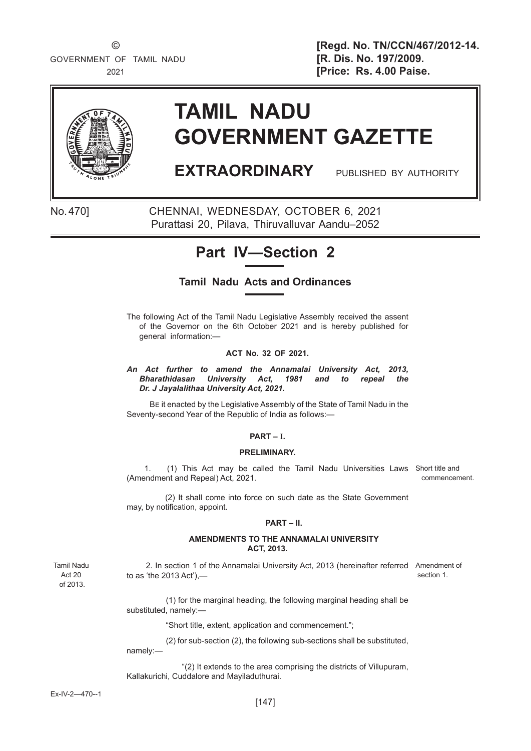GOVERNMENT OF TAMIL NADU **[R. Dis. No. 197/2009.** 

 © **[Regd. No. TN/CCN/467/2012-14.** 2021 **[Price: Rs. 4.00 Paise.** 



# **TAMIL NADU GOVERNMENT GAZETTE**

# **EXTRAORDINARY** PUBLISHED BY AUTHORITY

No. 470] CHENNAI, WEDNESDAY, OCTOBER 6, 2021 Purattasi 20, Pilava, Thiruvalluvar Aandu–2052

# **Part IV—Section 2**

### **Tamil Nadu Acts and Ordinances**

The following Act of the Tamil Nadu Legislative Assembly received the assent of the Governor on the 6th October 2021 and is hereby published for general information:—

#### **ACT No. 32 OF 2021.**

*An Act further to amend the Annamalai University Act, 2013, Bharathidasan University Act, 1981 and to repeal the Dr. J Jayalalithaa University Act, 2021.*

BE it enacted by the Legislative Assembly of the State of Tamil Nadu in the Seventy-second Year of the Republic of India as follows:—

#### **PART – I.**

#### **PRELIMINARY.**

1. (1) This Act may be called the Tamil Nadu Universities Laws Short title and (Amendment and Repeal) Act, 2021. commencement.

 (2) It shall come into force on such date as the State Government may, by notification, appoint.

#### **PART – II.**

#### **AMENDMENTS TO THE ANNAMALAI UNIVERSITY ACT, 2013.**

Tamil Nadu Act 20 of 2013.

2. In section 1 of the Annamalai University Act, 2013 (hereinafter referred Amendment of to as 'the 2013 Act'), section 1.

(1) for the marginal heading, the following marginal heading shall be substituted, namely:—

"Short title, extent, application and commencement.";

(2) for sub-section (2), the following sub-sections shall be substituted, namely:—

"(2) It extends to the area comprising the districts of Villupuram, Kallakurichi, Cuddalore and Mayiladuthurai.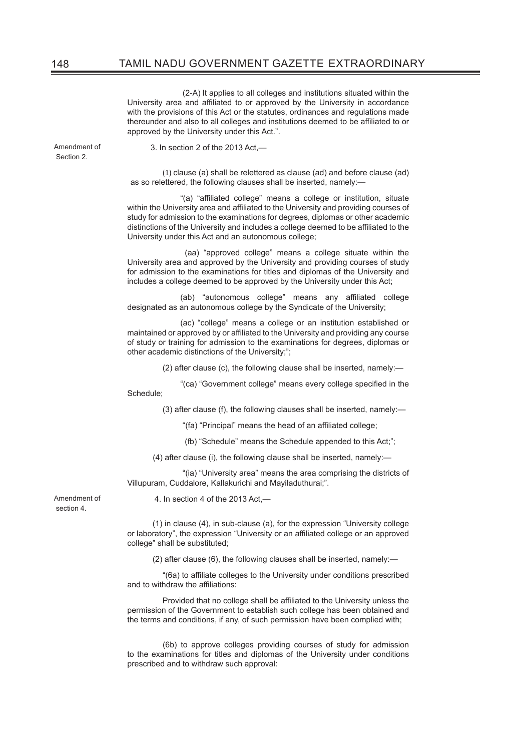(2-A) It applies to all colleges and institutions situated within the University area and affiliated to or approved by the University in accordance with the provisions of this Act or the statutes, ordinances and regulations made thereunder and also to all colleges and institutions deemed to be affiliated to or approved by the University under this Act.".

Amendment of Section 2.

3. In section 2 of the 2013 Act,—

(1) clause (a) shall be relettered as clause (ad) and before clause (ad) as so relettered, the following clauses shall be inserted, namely:—

"(a) "affiliated college" means a college or institution, situate within the University area and affiliated to the University and providing courses of study for admission to the examinations for degrees, diplomas or other academic distinctions of the University and includes a college deemed to be affiliated to the University under this Act and an autonomous college;

 (aa) "approved college" means a college situate within the University area and approved by the University and providing courses of study for admission to the examinations for titles and diplomas of the University and includes a college deemed to be approved by the University under this Act;

(ab) "autonomous college" means any affiliated college designated as an autonomous college by the Syndicate of the University;

 (ac) "college" means a college or an institution established or maintained or approved by or affiliated to the University and providing any course of study or training for admission to the examinations for degrees, diplomas or other academic distinctions of the University;";

(2) after clause (c), the following clause shall be inserted, namely:—

"(ca) "Government college" means every college specified in the Schedule;

(3) after clause (f), the following clauses shall be inserted, namely:—

"(fa) "Principal" means the head of an affiliated college:

(fb) "Schedule" means the Schedule appended to this Act;";

(4) after clause (i), the following clause shall be inserted, namely:—

 "(ia) "University area" means the area comprising the districts of Villupuram, Cuddalore, Kallakurichi and Mayiladuthurai;".

Amendment of section 4.

4. In section 4 of the 2013 Act,—

(1) in clause (4), in sub-clause (a), for the expression "University college or laboratory", the expression "University or an affiliated college or an approved college" shall be substituted;

(2) after clause (6), the following clauses shall be inserted, namely:—

"(6a) to affiliate colleges to the University under conditions prescribed and to withdraw the affiliations:

Provided that no college shall be affiliated to the University unless the permission of the Government to establish such college has been obtained and the terms and conditions, if any, of such permission have been complied with;

 (6b) to approve colleges providing courses of study for admission to the examinations for titles and diplomas of the University under conditions prescribed and to withdraw such approval: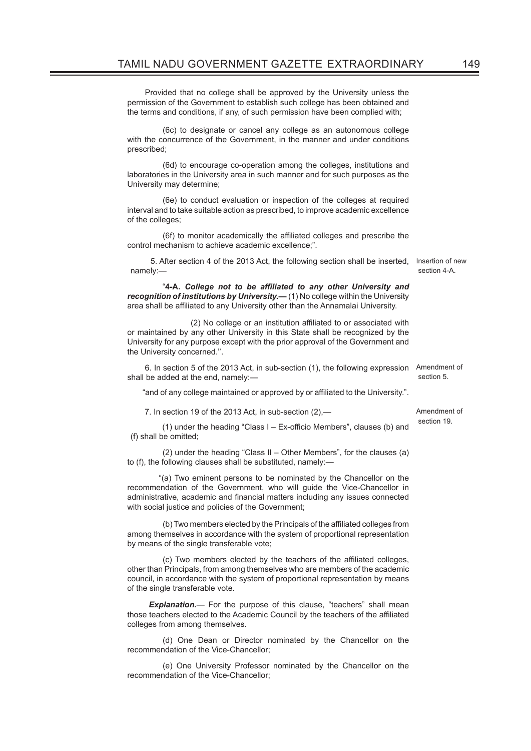Provided that no college shall be approved by the University unless the permission of the Government to establish such college has been obtained and the terms and conditions, if any, of such permission have been complied with;

 (6c) to designate or cancel any college as an autonomous college with the concurrence of the Government, in the manner and under conditions prescribed;

 (6d) to encourage co-operation among the colleges, institutions and laboratories in the University area in such manner and for such purposes as the University may determine;

 (6e) to conduct evaluation or inspection of the colleges at required interval and to take suitable action as prescribed, to improve academic excellence of the colleges;

(6f) to monitor academically the affiliated colleges and prescribe the control mechanism to achieve academic excellence;".

5. After section 4 of the 2013 Act, the following section shall be inserted, Insertion of new namely: section 4-A.

"**4-A.** *College not to be affi liated to any other University and recognition of institutions by University.***—** (1) No college within the University area shall be affiliated to any University other than the Annamalai University.

(2) No college or an institution affiliated to or associated with or maintained by any other University in this State shall be recognized by the University for any purpose except with the prior approval of the Government and the University concerned.''.

 6. In section 5 of the 2013 Act, in sub-section (1), the following expression Amendment of shall be added at the end, namely: section 5.

"and of any college maintained or approved by or affiliated to the University.".

7. In section 19 of the 2013 Act, in sub-section (2),—

(1) under the heading "Class  $I - Ex$ -officio Members", clauses (b) and (f) shall be omitted;

(2) under the heading "Class II – Other Members", for the clauses (a) to (f), the following clauses shall be substituted, namely:—

 "(a) Two eminent persons to be nominated by the Chancellor on the recommendation of the Government, who will guide the Vice-Chancellor in administrative, academic and financial matters including any issues connected with social justice and policies of the Government;

(b) Two members elected by the Principals of the affiliated colleges from among themselves in accordance with the system of proportional representation by means of the single transferable vote;

(c) Two members elected by the teachers of the affiliated colleges, other than Principals, from among themselves who are members of the academic council, in accordance with the system of proportional representation by means of the single transferable vote.

**Explanation.**— For the purpose of this clause, "teachers" shall mean those teachers elected to the Academic Council by the teachers of the affiliated colleges from among themselves.

 (d) One Dean or Director nominated by the Chancellor on the recommendation of the Vice-Chancellor;

 (e) One University Professor nominated by the Chancellor on the recommendation of the Vice-Chancellor;

Amendment of section 19.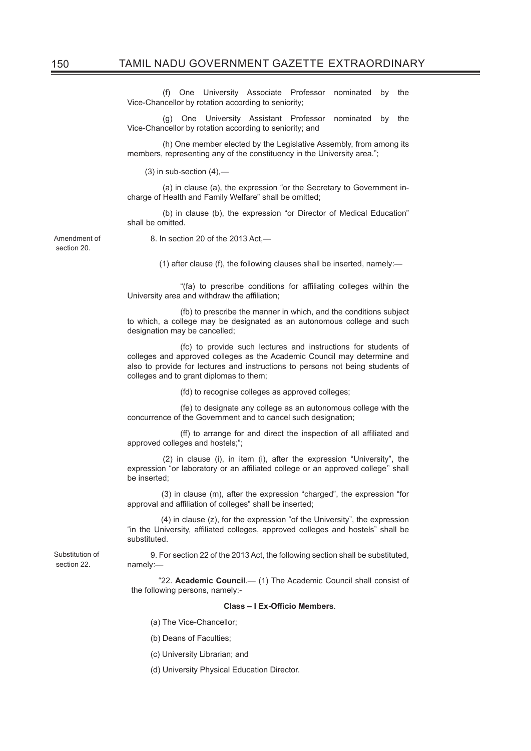(f) One University Associate Professor nominated by the Vice-Chancellor by rotation according to seniority;

 (g) One University Assistant Professor nominated by the Vice-Chancellor by rotation according to seniority; and

 (h) One member elected by the Legislative Assembly, from among its members, representing any of the constituency in the University area.";

 $(3)$  in sub-section  $(4)$ , $-$ 

 (a) in clause (a), the expression "or the Secretary to Government incharge of Health and Family Welfare" shall be omitted;

 (b) in clause (b), the expression "or Director of Medical Education" shall be omitted.

Amendment of section 20.

section 22.

8. In section 20 of the 2013 Act,—

(1) after clause (f), the following clauses shall be inserted, namely:—

"(fa) to prescribe conditions for affiliating colleges within the University area and withdraw the affiliation;

 (fb) to prescribe the manner in which, and the conditions subject to which, a college may be designated as an autonomous college and such designation may be cancelled;

 (fc) to provide such lectures and instructions for students of colleges and approved colleges as the Academic Council may determine and also to provide for lectures and instructions to persons not being students of colleges and to grant diplomas to them;

(fd) to recognise colleges as approved colleges;

 (fe) to designate any college as an autonomous college with the concurrence of the Government and to cancel such designation;

(ff) to arrange for and direct the inspection of all affiliated and approved colleges and hostels;";

 (2) in clause (i), in item (i), after the expression "University", the expression "or laboratory or an affiliated college or an approved college" shall be inserted;

 (3) in clause (m), after the expression "charged", the expression "for approval and affiliation of colleges" shall be inserted;

 (4) in clause (z), for the expression "of the University", the expression "in the University, affiliated colleges, approved colleges and hostels" shall be substituted.

Substitution of 9. For section 22 of the 2013 Act, the following section shall be substituted, namely:—

> "22. **Academic Council**.— (1) The Academic Council shall consist of the following persons, namely:-

#### **Class – I Ex-Officio Members.**

- (a) The Vice-Chancellor;
- (b) Deans of Faculties;
- (c) University Librarian; and
- (d) University Physical Education Director.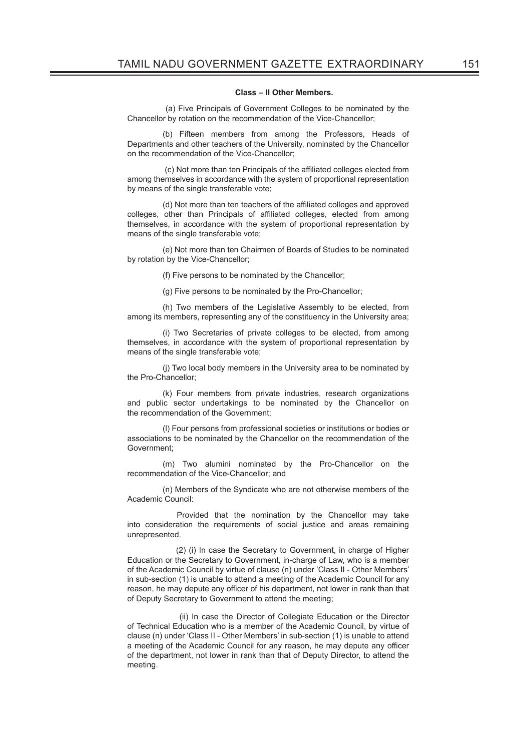#### **Class – II Other Members.**

 (a) Five Principals of Government Colleges to be nominated by the Chancellor by rotation on the recommendation of the Vice-Chancellor;

 (b) Fifteen members from among the Professors, Heads of Departments and other teachers of the University, nominated by the Chancellor on the recommendation of the Vice-Chancellor;

(c) Not more than ten Principals of the affiliated colleges elected from among themselves in accordance with the system of proportional representation by means of the single transferable vote;

(d) Not more than ten teachers of the affiliated colleges and approved colleges, other than Principals of affiliated colleges, elected from among themselves, in accordance with the system of proportional representation by means of the single transferable vote;

 (e) Not more than ten Chairmen of Boards of Studies to be nominated by rotation by the Vice-Chancellor;

(f) Five persons to be nominated by the Chancellor;

(g) Five persons to be nominated by the Pro-Chancellor;

 (h) Two members of the Legislative Assembly to be elected, from among its members, representing any of the constituency in the University area;

 (i) Two Secretaries of private colleges to be elected, from among themselves, in accordance with the system of proportional representation by means of the single transferable vote;

 (j) Two local body members in the University area to be nominated by the Pro-Chancellor;

 (k) Four members from private industries, research organizations and public sector undertakings to be nominated by the Chancellor on the recommendation of the Government;

 (l) Four persons from professional societies or institutions or bodies or associations to be nominated by the Chancellor on the recommendation of the Government;

 (m) Two alumini nominated by the Pro-Chancellor on the recommendation of the Vice-Chancellor; and

 (n) Members of the Syndicate who are not otherwise members of the Academic Council:

Provided that the nomination by the Chancellor may take into consideration the requirements of social justice and areas remaining unrepresented.

(2) (i) In case the Secretary to Government, in charge of Higher Education or the Secretary to Government, in-charge of Law, who is a member of the Academic Council by virtue of clause (n) under 'Class II - Other Members' in sub-section (1) is unable to attend a meeting of the Academic Council for any reason, he may depute any officer of his department, not lower in rank than that of Deputy Secretary to Government to attend the meeting;

 (ii) In case the Director of Collegiate Education or the Director of Technical Education who is a member of the Academic Council, by virtue of clause (n) under 'Class II - Other Members' in sub-section (1) is unable to attend a meeting of the Academic Council for any reason, he may depute any officer of the department, not lower in rank than that of Deputy Director, to attend the meeting.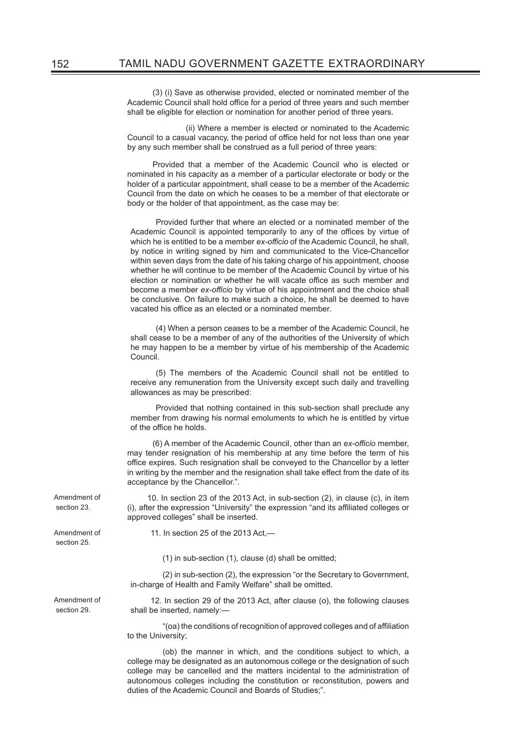(3) (i) Save as otherwise provided, elected or nominated member of the Academic Council shall hold office for a period of three years and such member shall be eligible for election or nomination for another period of three years.

 (ii) Where a member is elected or nominated to the Academic Council to a casual vacancy, the period of office held for not less than one year by any such member shall be construed as a full period of three years:

Provided that a member of the Academic Council who is elected or nominated in his capacity as a member of a particular electorate or body or the holder of a particular appointment, shall cease to be a member of the Academic Council from the date on which he ceases to be a member of that electorate or body or the holder of that appointment, as the case may be:

Provided further that where an elected or a nominated member of the Academic Council is appointed temporarily to any of the offices by virtue of which he is entitled to be a member *ex-officio* of the Academic Council, he shall, by notice in writing signed by him and communicated to the Vice-Chancellor within seven days from the date of his taking charge of his appointment, choose whether he will continue to be member of the Academic Council by virtue of his election or nomination or whether he will vacate office as such member and become a member *ex-officio* by virtue of his appointment and the choice shall be conclusive. On failure to make such a choice, he shall be deemed to have vacated his office as an elected or a nominated member.

(4) When a person ceases to be a member of the Academic Council, he shall cease to be a member of any of the authorities of the University of which he may happen to be a member by virtue of his membership of the Academic Council.

(5) The members of the Academic Council shall not be entitled to receive any remuneration from the University except such daily and travelling allowances as may be prescribed:

Provided that nothing contained in this sub-section shall preclude any member from drawing his normal emoluments to which he is entitled by virtue of the office he holds.

(6) A member of the Academic Council, other than an *ex-officio* member, may tender resignation of his membership at any time before the term of his office expires. Such resignation shall be conveyed to the Chancellor by a letter in writing by the member and the resignation shall take effect from the date of its acceptance by the Chancellor.".

10. In section 23 of the 2013 Act, in sub-section (2), in clause (c), in item (i), after the expression "University" the expression "and its affiliated colleges or approved colleges" shall be inserted.

11. In section 25 of the 2013 Act,—

(1) in sub-section (1), clause (d) shall be omitted;

(2) in sub-section (2), the expression "or the Secretary to Government, in-charge of Health and Family Welfare" shall be omitted.

12. In section 29 of the 2013 Act, after clause (o), the following clauses shall be inserted, namely:—

"(oa) the conditions of recognition of approved colleges and of affiliation to the University;

 (ob) the manner in which, and the conditions subject to which, a college may be designated as an autonomous college or the designation of such college may be cancelled and the matters incidental to the administration of autonomous colleges including the constitution or reconstitution, powers and duties of the Academic Council and Boards of Studies;".

Amendment of section 23.

Amendment of section 25.

Amendment of section 29.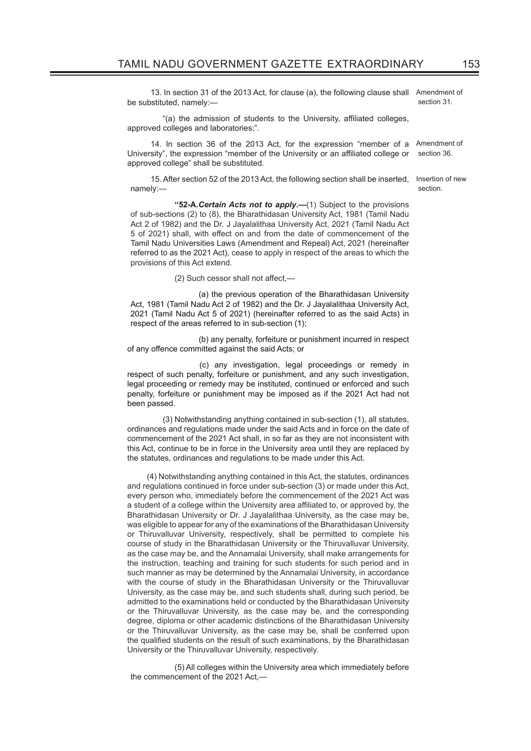13. In section 31 of the 2013 Act, for clause (a), the following clause shall Amendment of be substituted, namely:—

section 31.

section.

"(a) the admission of students to the University, affiliated colleges, approved colleges and laboratories;".

14. In section 36 of the 2013 Act, for the expression "member of a Amendment of University", the expression "member of the University or an affiliated college or approved college" shall be substituted. section 36.

15. After section 52 of the 2013 Act, the following section shall be inserted, Insertion of new namely:—

**''52-A***.Certain Acts not to apply***.—**(1) Subject to the provisions of sub-sections (2) to (8), the Bharathidasan University Act, 1981 (Tamil Nadu Act 2 of 1982) and the Dr. J Jayalalithaa University Act, 2021 (Tamil Nadu Act 5 of 2021) shall, with effect on and from the date of commencement of the Tamil Nadu Universities Laws (Amendment and Repeal) Act, 2021 (hereinafter referred to as the 2021 Act), cease to apply in respect of the areas to which the provisions of this Act extend.

 $(2)$  Such cessor shall not affect,-

(a) the previous operation of the Bharathidasan University Act, 1981 (Tamil Nadu Act 2 of 1982) and the Dr. J Jayalalithaa University Act, 2021 (Tamil Nadu Act 5 of 2021) (hereinafter referred to as the said Acts) in respect of the areas referred to in sub-section (1);

(b) any penalty, forfeiture or punishment incurred in respect of any offence committed against the said Acts; or

(c) any investigation, legal proceedings or remedy in respect of such penalty, forfeiture or punishment, and any such investigation, legal proceeding or remedy may be instituted, continued or enforced and such penalty, forfeiture or punishment may be imposed as if the 2021 Act had not been passed.

 (3) Notwithstanding anything contained in sub-section (1), all statutes, ordinances and regulations made under the said Acts and in force on the date of commencement of the 2021 Act shall, in so far as they are not inconsistent with this Act, continue to be in force in the University area until they are replaced by the statutes, ordinances and regulations to be made under this Act.

 (4) Notwithstanding anything contained in this Act, the statutes, ordinances and regulations continued in force under sub-section (3) or made under this Act, every person who, immediately before the commencement of the 2021 Act was a student of a college within the University area affiliated to, or approved by, the Bharathidasan University or Dr. J Jayalalithaa University, as the case may be, was eligible to appear for any of the examinations of the Bharathidasan University or Thiruvalluvar University, respectively, shall be permitted to complete his course of study in the Bharathidasan University or the Thiruvalluvar University, as the case may be, and the Annamalai University, shall make arrangements for the instruction, teaching and training for such students for such period and in such manner as may be determined by the Annamalai University, in accordance with the course of study in the Bharathidasan University or the Thiruvalluvar University, as the case may be, and such students shall, during such period, be admitted to the examinations held or conducted by the Bharathidasan University or the Thiruvalluvar University, as the case may be, and the corresponding degree, diploma or other academic distinctions of the Bharathidasan University or the Thiruvalluvar University, as the case may be, shall be conferred upon the qualified students on the result of such examinations, by the Bharathidasan University or the Thiruvalluvar University, respectively.

(5) All colleges within the University area which immediately before the commencement of the 2021 Act,—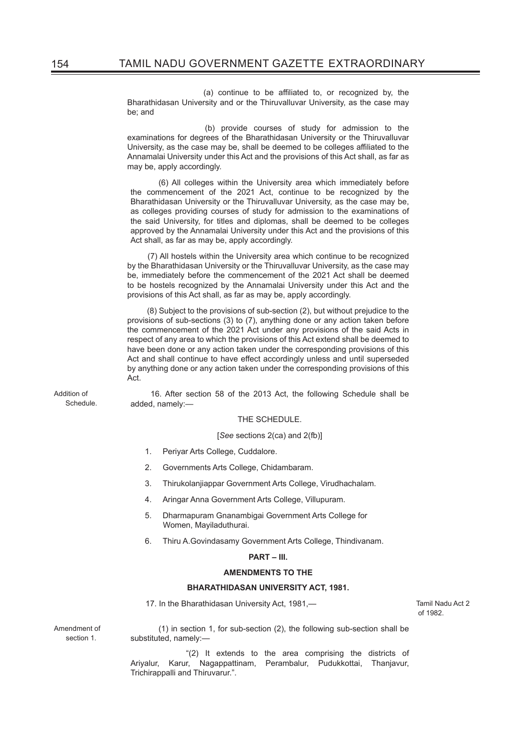(a) continue to be affiliated to, or recognized by, the Bharathidasan University and or the Thiruvalluvar University, as the case may be; and

 (b) provide courses of study for admission to the examinations for degrees of the Bharathidasan University or the Thiruvalluvar University, as the case may be, shall be deemed to be colleges affiliated to the Annamalai University under this Act and the provisions of this Act shall, as far as may be, apply accordingly.

(6) All colleges within the University area which immediately before the commencement of the 2021 Act, continue to be recognized by the Bharathidasan University or the Thiruvalluvar University, as the case may be, as colleges providing courses of study for admission to the examinations of the said University, for titles and diplomas, shall be deemed to be colleges approved by the Annamalai University under this Act and the provisions of this Act shall, as far as may be, apply accordingly.

 (7) All hostels within the University area which continue to be recognized by the Bharathidasan University or the Thiruvalluvar University, as the case may be, immediately before the commencement of the 2021 Act shall be deemed to be hostels recognized by the Annamalai University under this Act and the provisions of this Act shall, as far as may be, apply accordingly.

 (8) Subject to the provisions of sub-section (2), but without prejudice to the provisions of sub-sections (3) to (7), anything done or any action taken before the commencement of the 2021 Act under any provisions of the said Acts in respect of any area to which the provisions of this Act extend shall be deemed to have been done or any action taken under the corresponding provisions of this Act and shall continue to have effect accordingly unless and until superseded by anything done or any action taken under the corresponding provisions of this Act.

Addition of Schedule.

16. After section 58 of the 2013 Act, the following Schedule shall be added, namely:—

#### THE SCHEDULE.

#### [*See* sections 2(ca) and 2(fb)]

- 1. Periyar Arts College, Cuddalore.
- 2. Governments Arts College, Chidambaram.
- 3. Thirukolanjiappar Government Arts College, Virudhachalam.
- 4. Aringar Anna Government Arts College, Villupuram.
- 5. Dharmapuram Gnanambigai Government Arts College for Women, Mayiladuthurai.
- 6. Thiru A.Govindasamy Government Arts College, Thindivanam.

#### **PART – III.**

#### **AMENDMENTS TO THE**

#### **BHARATHIDASAN UNIVERSITY ACT, 1981.**

17. In the Bharathidasan University Act, 1981,— The Context of Tamil Nadu Act 2

of 1982.

Amendment of section 1.

(1) in section 1, for sub-section (2), the following sub-section shall be substituted, namely:—

 "(2) It extends to the area comprising the districts of Ariyalur, Karur, Nagappattinam, Perambalur, Pudukkottai, Thanjavur, Trichirappalli and Thiruvarur.".